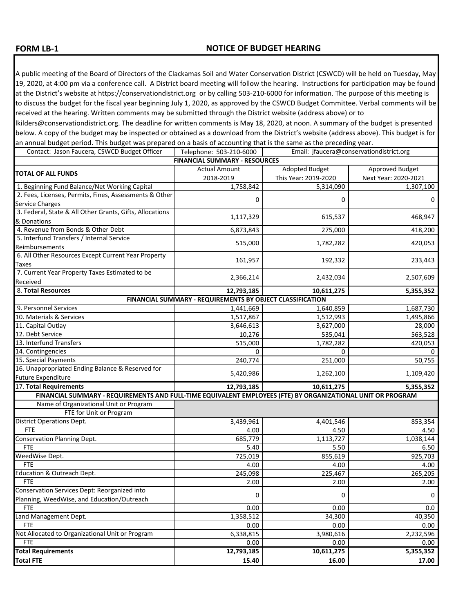## **FORM LB-1**

A public meeting of the Board of Directors of the Clackamas Soil and Water Conservation District (CSWCD) will be held on Tuesday, May 19, 2020, at 4:00 pm via a conference call. A District board meeting will follow the hearing. Instructions for participation may be found at the District's website at https://conservationdistrict.org or by calling 503-210-6000 for information. The purpose of this meeting is to discuss the budget for the fiscal year beginning July 1, 2020, as approved by the CSWCD Budget Committee. Verbal comments will be received at the hearing. Written comments may be submitted through the District website (address above) or to

lkilders@conservationdistrict.org. The deadline for written comments is May 18, 2020, at noon. A summary of the budget is presented below. A copy of the budget may be inspected or obtained as a download from the District's website (address above). This budget is for an annual budget period. This budget was prepared on a basis of accounting that is the same as the preceding year.

| Contact: Jason Faucera, CSWCD Budget Officer                                                                | Telephone: 503-210-6000 |                       | Email: jfaucera@conservationdistrict.org |  |
|-------------------------------------------------------------------------------------------------------------|-------------------------|-----------------------|------------------------------------------|--|
| <b>FINANCIAL SUMMARY - RESOURCES</b>                                                                        |                         |                       |                                          |  |
| <b>TOTAL OF ALL FUNDS</b>                                                                                   | <b>Actual Amount</b>    | <b>Adopted Budget</b> | Approved Budget                          |  |
|                                                                                                             | 2018-2019               | This Year: 2019-2020  | Next Year: 2020-2021                     |  |
| 1. Beginning Fund Balance/Net Working Capital                                                               | 1,758,842               | 5,314,090             | 1,307,100                                |  |
| 2. Fees, Licenses, Permits, Fines, Assessments & Other                                                      | 0                       | 0                     | 0                                        |  |
| Service Charges                                                                                             |                         |                       |                                          |  |
| 3. Federal, State & All Other Grants, Gifts, Allocations                                                    | 1,117,329               | 615,537               | 468,947                                  |  |
| & Donations                                                                                                 |                         |                       |                                          |  |
| 4. Revenue from Bonds & Other Debt                                                                          | 6,873,843               | 275,000               | 418,200                                  |  |
| 5. Interfund Transfers / Internal Service                                                                   | 515,000                 | 1,782,282             | 420,053                                  |  |
| Reimbursements                                                                                              |                         |                       |                                          |  |
| 6. All Other Resources Except Current Year Property                                                         | 161,957                 | 192,332               | 233,443                                  |  |
| Taxes                                                                                                       |                         |                       |                                          |  |
| 7. Current Year Property Taxes Estimated to be                                                              | 2,366,214               | 2,432,034             | 2,507,609                                |  |
| Received                                                                                                    |                         |                       |                                          |  |
| 8. Total Resources                                                                                          | 12,793,185              | 10,611,275            | 5,355,352                                |  |
| FINANCIAL SUMMARY - REQUIREMENTS BY OBJECT CLASSIFICATION                                                   |                         |                       |                                          |  |
| 9. Personnel Services                                                                                       | 1,441,669               | 1,640,859             | 1,687,730                                |  |
| 10. Materials & Services                                                                                    | 1,517,867               | 1,512,993             | 1,495,866                                |  |
| 11. Capital Outlay                                                                                          | 3,646,613               | 3,627,000             | 28,000                                   |  |
| 12. Debt Service                                                                                            | 10,276                  | 535,041               | 563,528                                  |  |
| 13. Interfund Transfers                                                                                     | 515,000                 | 1,782,282             | 420,053                                  |  |
| 14. Contingencies                                                                                           | 0                       | 0                     |                                          |  |
| 15. Special Payments                                                                                        | 240,774                 | 251,000               | 50,755                                   |  |
| 16. Unappropriated Ending Balance & Reserved for                                                            | 5,420,986               | 1,262,100             | 1,109,420                                |  |
| Future Expenditure                                                                                          |                         |                       |                                          |  |
| 17. Total Requirements                                                                                      | 12,793,185              | 10,611,275            | 5,355,352                                |  |
| FINANCIAL SUMMARY - REQUIREMENTS AND FULL-TIME EQUIVALENT EMPLOYEES (FTE) BY ORGANIZATIONAL UNIT OR PROGRAM |                         |                       |                                          |  |
| Name of Organizational Unit or Program                                                                      |                         |                       |                                          |  |
| FTE for Unit or Program                                                                                     |                         |                       |                                          |  |
| <b>District Operations Dept.</b>                                                                            | 3,439,961               | 4,401,546             | 853,354                                  |  |
| <b>FTE</b>                                                                                                  | 4.00                    | 4.50                  | 4.50                                     |  |
| Conservation Planning Dept.                                                                                 | 685,779                 | 1,113,727             | 1,038,144                                |  |
| <b>FTE</b>                                                                                                  | 5.40                    | 5.50                  | 6.50                                     |  |
| WeedWise Dept.                                                                                              | 725,019                 | 855,619               | 925,703                                  |  |
| <b>FTE</b>                                                                                                  | 4.00                    | 4.00                  | 4.00                                     |  |
| Education & Outreach Dept.                                                                                  | 245,098                 | 225,467               | 265,205                                  |  |
| <b>FTE</b>                                                                                                  | 2.00                    | 2.00                  | 2.00                                     |  |
| Conservation Services Dept: Reorganized into                                                                | 0                       | 0                     | $\boldsymbol{0}$                         |  |
| Planning, WeedWise, and Education/Outreach                                                                  |                         |                       |                                          |  |
| <b>FTE</b>                                                                                                  | 0.00                    | 0.00                  | 0.0                                      |  |
| Land Management Dept.                                                                                       | 1,358,512               | 34,300                | 40,350                                   |  |
| <b>FTE</b>                                                                                                  | 0.00                    | 0.00                  | 0.00                                     |  |
| Not Allocated to Organizational Unit or Program                                                             | 6,338,815               | 3,980,616             | 2,232,596                                |  |
| <b>FTE</b>                                                                                                  | 0.00                    | 0.00                  | 0.00                                     |  |
| <b>Total Requirements</b>                                                                                   | 12,793,185              | 10,611,275            | 5,355,352                                |  |
| <b>Total FTE</b>                                                                                            | 15.40                   | 16.00                 | 17.00                                    |  |